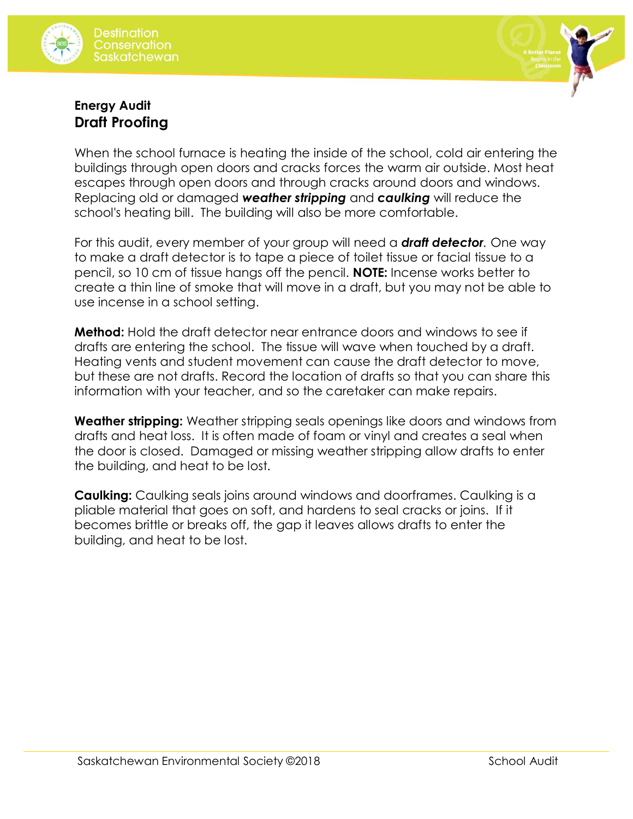



# **Energy Audit Draft Proofing**

When the school furnace is heating the inside of the school, cold air entering the buildings through open doors and cracks forces the warm air outside. Most heat escapes through open doors and through cracks around doors and windows. Replacing old or damaged *weather stripping* and *caulking* will reduce the school's heating bill. The building will also be more comfortable.

For this audit, every member of your group will need a *draft detector.* One way to make a draft detector is to tape a piece of toilet tissue or facial tissue to a pencil, so 10 cm of tissue hangs off the pencil. **NOTE:** Incense works better to create a thin line of smoke that will move in a draft, but you may not be able to use incense in a school setting.

**Method:** Hold the draft detector near entrance doors and windows to see if drafts are entering the school. The tissue will wave when touched by a draft. Heating vents and student movement can cause the draft detector to move, but these are not drafts. Record the location of drafts so that you can share this information with your teacher, and so the caretaker can make repairs.

**Weather stripping:** Weather stripping seals openings like doors and windows from drafts and heat loss. It is often made of foam or vinyl and creates a seal when the door is closed. Damaged or missing weather stripping allow drafts to enter the building, and heat to be lost.

**Caulking:** Caulking seals joins around windows and doorframes. Caulking is a pliable material that goes on soft, and hardens to seal cracks or joins. If it becomes brittle or breaks off, the gap it leaves allows drafts to enter the building, and heat to be lost.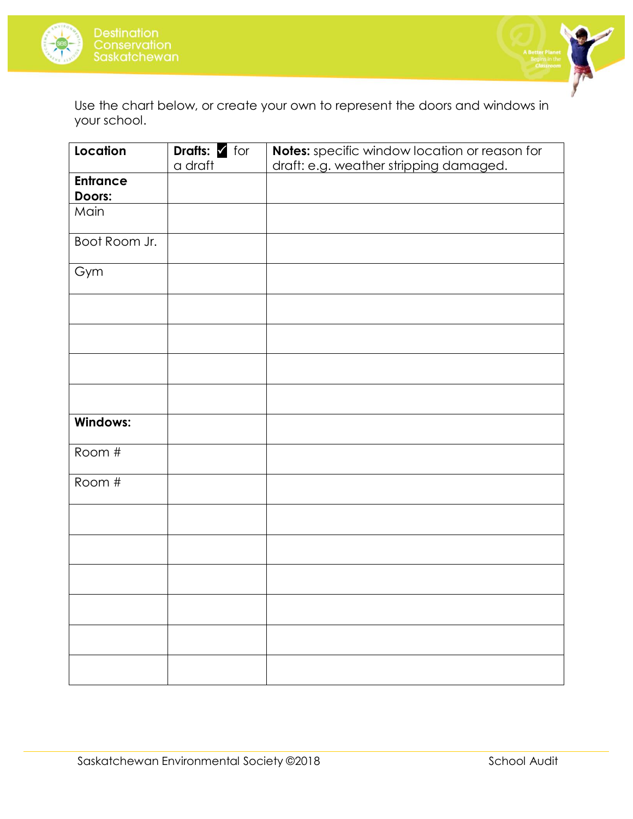



Use the chart below, or create your own to represent the doors and windows in your school.

| Location           | Drafts: 1 for | Notes: specific window location or reason for |  |  |  |
|--------------------|---------------|-----------------------------------------------|--|--|--|
|                    | a draft       | draft: e.g. weather stripping damaged.        |  |  |  |
| <b>Entrance</b>    |               |                                               |  |  |  |
| Doors:             |               |                                               |  |  |  |
| Main               |               |                                               |  |  |  |
|                    |               |                                               |  |  |  |
| Boot Room Jr.      |               |                                               |  |  |  |
| Gym                |               |                                               |  |  |  |
|                    |               |                                               |  |  |  |
|                    |               |                                               |  |  |  |
|                    |               |                                               |  |  |  |
|                    |               |                                               |  |  |  |
| <b>Windows:</b>    |               |                                               |  |  |  |
| Room $\frac{1}{t}$ |               |                                               |  |  |  |
| Room #             |               |                                               |  |  |  |
|                    |               |                                               |  |  |  |
|                    |               |                                               |  |  |  |
|                    |               |                                               |  |  |  |
|                    |               |                                               |  |  |  |
|                    |               |                                               |  |  |  |
|                    |               |                                               |  |  |  |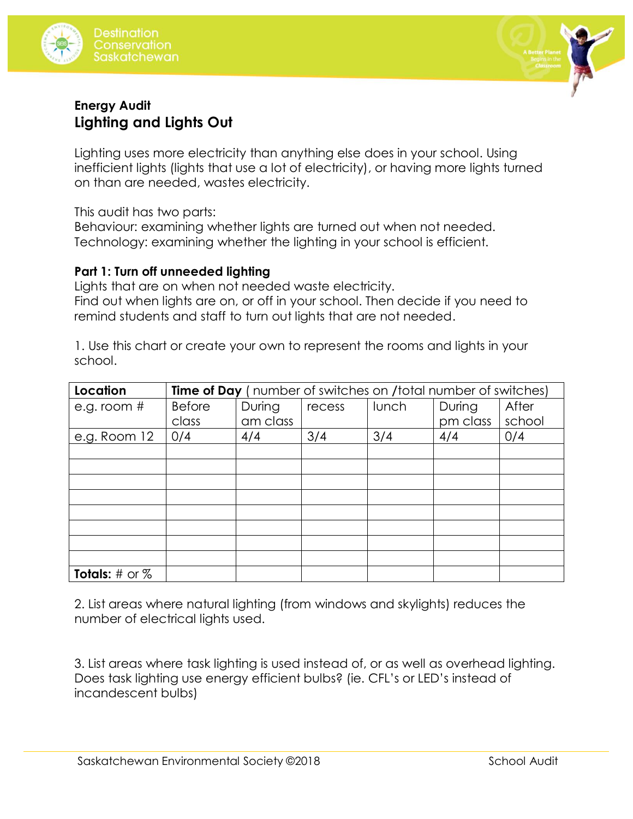



# **Energy Audit Lighting and Lights Out**

Lighting uses more electricity than anything else does in your school. Using inefficient lights (lights that use a lot of electricity), or having more lights turned on than are needed, wastes electricity.

This audit has two parts:

Behaviour: examining whether lights are turned out when not needed. Technology: examining whether the lighting in your school is efficient.

#### **Part 1: Turn off unneeded lighting**

Lights that are on when not needed waste electricity. Find out when lights are on, or off in your school. Then decide if you need to remind students and staff to turn out lights that are not needed.

1. Use this chart or create your own to represent the rooms and lights in your school.

| Location                  | <b>Time of Day</b> (number of switches on /total number of switches) |          |        |       |          |        |
|---------------------------|----------------------------------------------------------------------|----------|--------|-------|----------|--------|
| e.g. room $#$             | <b>Before</b>                                                        | During   | recess | lunch | During   | After  |
|                           | class                                                                | am class |        |       | pm class | school |
| e.g. Room 12              | 0/4                                                                  | 4/4      | 3/4    | 3/4   | 4/4      | 0/4    |
|                           |                                                                      |          |        |       |          |        |
|                           |                                                                      |          |        |       |          |        |
|                           |                                                                      |          |        |       |          |        |
|                           |                                                                      |          |        |       |          |        |
|                           |                                                                      |          |        |       |          |        |
|                           |                                                                      |          |        |       |          |        |
|                           |                                                                      |          |        |       |          |        |
|                           |                                                                      |          |        |       |          |        |
| <b>Totals:</b> $#$ or $%$ |                                                                      |          |        |       |          |        |

2. List areas where natural lighting (from windows and skylights) reduces the number of electrical lights used.

3. List areas where task lighting is used instead of, or as well as overhead lighting. Does task lighting use energy efficient bulbs? (ie. CFL's or LED's instead of incandescent bulbs)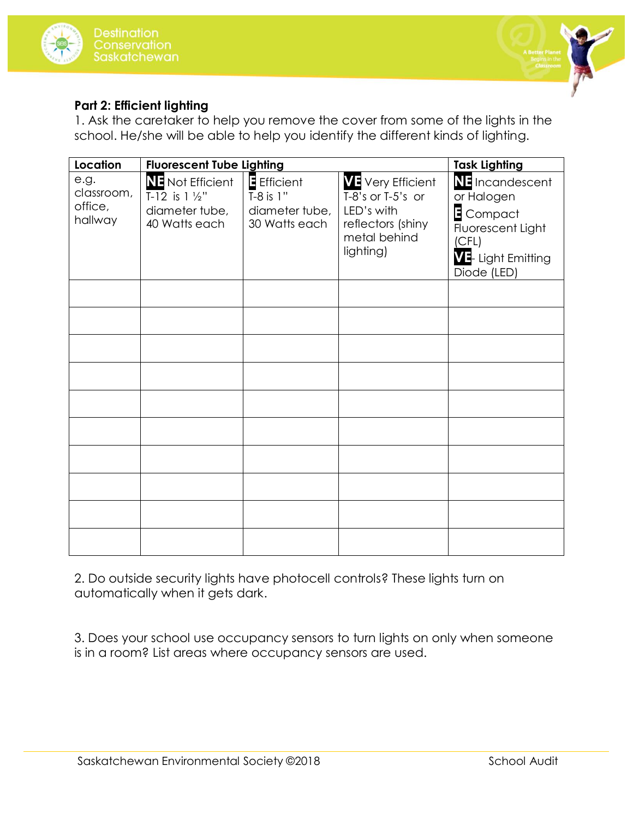



### **Part 2: Efficient lighting**

1. Ask the caretaker to help you remove the cover from some of the lights in the school. He/she will be able to help you identify the different kinds of lighting.

| Location                                 | <b>Fluorescent Tube Lighting</b>                                                       | Task Lighting                                               |                                                                                                               |                                                                                                                |
|------------------------------------------|----------------------------------------------------------------------------------------|-------------------------------------------------------------|---------------------------------------------------------------------------------------------------------------|----------------------------------------------------------------------------------------------------------------|
| e.g.<br>classroom,<br>office,<br>hallway | <b>NE</b> Not Efficient<br>T-12 is $1\frac{1}{2}$ "<br>diameter tube,<br>40 Watts each | E Efficient<br>T-8 is 1"<br>diameter tube,<br>30 Watts each | <b>VE</b> Very Efficient<br>T-8's or T-5's or<br>LED's with<br>reflectors (shiny<br>metal behind<br>lighting) | NE Incandescent<br>or Halogen<br>$E$ Compact<br>Fluorescent Light<br>(CFL)<br>VE-Light Emitting<br>Diode (LED) |
|                                          |                                                                                        |                                                             |                                                                                                               |                                                                                                                |
|                                          |                                                                                        |                                                             |                                                                                                               |                                                                                                                |
|                                          |                                                                                        |                                                             |                                                                                                               |                                                                                                                |
|                                          |                                                                                        |                                                             |                                                                                                               |                                                                                                                |
|                                          |                                                                                        |                                                             |                                                                                                               |                                                                                                                |
|                                          |                                                                                        |                                                             |                                                                                                               |                                                                                                                |
|                                          |                                                                                        |                                                             |                                                                                                               |                                                                                                                |
|                                          |                                                                                        |                                                             |                                                                                                               |                                                                                                                |
|                                          |                                                                                        |                                                             |                                                                                                               |                                                                                                                |
|                                          |                                                                                        |                                                             |                                                                                                               |                                                                                                                |

2. Do outside security lights have photocell controls? These lights turn on automatically when it gets dark.

3. Does your school use occupancy sensors to turn lights on only when someone is in a room? List areas where occupancy sensors are used.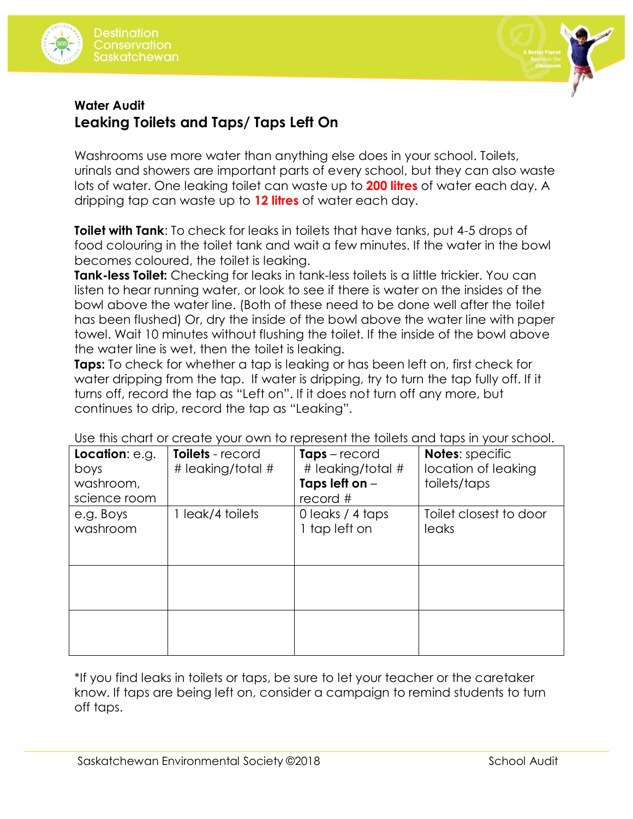



## **Water Audit Leaking Toilets and Taps/ Taps Left On**

Washrooms use more water than anything else does in your school. Toilets, urinals and showers are important parts of every school, but they can also waste lots of water. One leaking toilet can waste up to **200 litres** of water each day. A dripping tap can waste up to **12 litres** of water each day.

**Toilet with Tank**: To check for leaks in toilets that have tanks, put 4-5 drops of food colouring in the toilet tank and wait a few minutes. If the water in the bowl becomes coloured, the toilet is leaking.

**Tank-less Toilet:** Checking for leaks in tank-less toilets is a little trickier. You can listen to hear running water, or look to see if there is water on the insides of the bowl above the water line. (Both of these need to be done well after the toilet has been flushed) Or, dry the inside of the bowl above the water line with paper towel. Wait 10 minutes without flushing the toilet. If the inside of the bowl above the water line is wet, then the toilet is leaking.

**Taps:** To check for whether a tap is leaking or has been left on, first check for water dripping from the tap. If water is dripping, try to turn the tap fully off. If it turns off, record the tap as "Left on". If it does not turn off any more, but continues to drip, record the tap as "Leaking".

| Location: e.g.<br>boys<br>washroom,<br>science room | Toilets - record<br># leaking/total # | Taps-record<br># leaking/total #<br>Taps left on $-$<br>record # | <b>Notes:</b> specific<br>location of leaking<br>toilets/taps |
|-----------------------------------------------------|---------------------------------------|------------------------------------------------------------------|---------------------------------------------------------------|
| e.g. Boys<br>washroom                               | leak/4 toilets                        | 0 leaks / 4 taps<br>1 tap left on                                | Toilet closest to door<br>leaks                               |
|                                                     |                                       |                                                                  |                                                               |
|                                                     |                                       |                                                                  |                                                               |

Use this chart or create your own to represent the toilets and taps in your school.

\*If you find leaks in toilets or taps, be sure to let your teacher or the caretaker know. If taps are being left on, consider a campaign to remind students to turn off taps.